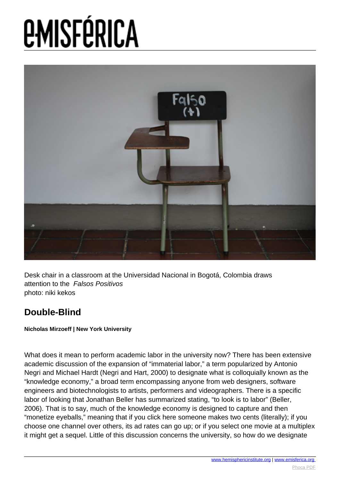

Desk chair in a classroom at the Universidad Nacional in Bogotá, Colombia draws attention to the Falsos Positivos photo: niki kekos

### **Double-Blind**

**Nicholas Mirzoeff | New York University**

What does it mean to perform academic labor in the university now? There has been extensive academic discussion of the expansion of "immaterial labor," a term popularized by Antonio Negri and Michael Hardt (Negri and Hart, 2000) to designate what is colloquially known as the "knowledge economy," a broad term encompassing anyone from web designers, software engineers and biotechnologists to artists, performers and videographers. There is a specific labor of looking that Jonathan Beller has summarized stating, "to look is to labor" (Beller, 2006). That is to say, much of the knowledge economy is designed to capture and then "monetize eyeballs," meaning that if you click here someone makes two cents (literally); if you choose one channel over others, its ad rates can go up; or if you select one movie at a multiplex it might get a sequel. Little of this discussion concerns the university, so how do we designate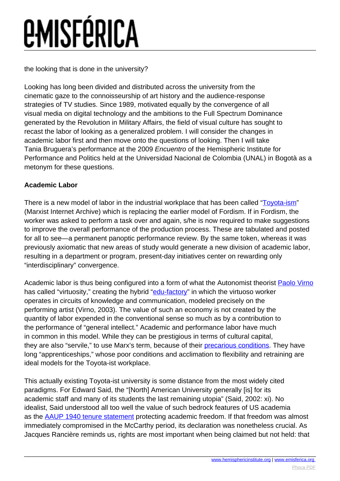## *<u>EMISFÉRICA</u>*

the looking that is done in the university?

Looking has long been divided and distributed across the university from the cinematic gaze to the connoisseurship of art history and the audience-response strategies of TV studies. Since 1989, motivated equally by the convergence of all visual media on digital technology and the ambitions to the Full Spectrum Dominance generated by the Revolution in Military Affairs, the field of visual culture has sought to recast the labor of looking as a generalized problem. I will consider the changes in academic labor first and then move onto the questions of looking. Then I will take Tania Bruguera's performance at the 2009 Encuentro of the Hemispheric Institute for Performance and Politics held at the Universidad Nacional de Colombia (UNAL) in Bogotà as a metonym for these questions.

### **Academic Labor**

There is a new model of labor in the industrial workplace that has been called ["Toyota-ism](http://www.marxists.org/glossary/terms/t/o.htm#toyotism)" (Marxist Internet Archive) which is replacing the earlier model of Fordism. If in Fordism, the worker was asked to perform a task over and again, s/he is now required to make suggestions to improve the overall performance of the production process. These are tabulated and posted for all to see—a permanent panoptic performance review. By the same token, whereas it was previously axiomatic that new areas of study would generate a new division of academic labor, resulting in a department or program, present-day initiatives center on rewarding only "interdisciplinary" convergence.

Academic labor is thus being configured into a form of what the Autonomist theorist **[Paolo Virno](http://www.generation-online.org/c/fcmultitude3.htm)** has called "virtuosity," creating the hybrid "[edu-factory"](http://www.edu-factory.org/edu15/) in which the virtuoso worker operates in circuits of knowledge and communication, modeled precisely on the performing artist (Virno, 2003). The value of such an economy is not created by the quantity of labor expended in the conventional sense so much as by a contribution to the performance of "general intellect." Academic and performance labor have much in common in this model. While they can be prestigious in terms of cultural capital, they are also "servile," to use Marx's term, because of their *[precarious conditions](http://freenyu.wordpress.com/)*. They have long "apprenticeships," whose poor conditions and acclimation to flexibility and retraining are ideal models for the Toyota-ist workplace.

This actually existing Toyota-ist university is some distance from the most widely cited paradigms. For Edward Said, the "[North] American University generally [is] for its academic staff and many of its students the last remaining utopia" (Said, 2002: xi). No idealist, Said understood all too well the value of such bedrock features of US academia as the [AAUP 1940 tenure statement](http://www.aaup.org/AAUP/pubsres/policydocs/contents/1940statement.htm) protecting academic freedom. If that freedom was almost immediately compromised in the McCarthy period, its declaration was nonetheless crucial. As Jacques Rancière reminds us, rights are most important when being claimed but not held: that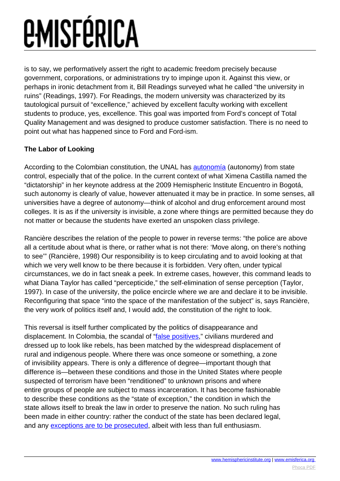### *<u>EMISFÉRICA</u>*

is to say, we performatively assert the right to academic freedom precisely because government, corporations, or administrations try to impinge upon it. Against this view, or perhaps in ironic detachment from it, Bill Readings surveyed what he called "the university in ruins" (Readings, 1997). For Readings, the modern university was characterized by its tautological pursuit of "excellence," achieved by excellent faculty working with excellent students to produce, yes, excellence. This goal was imported from Ford's concept of Total Quality Management and was designed to produce customer satisfaction. There is no need to point out what has happened since to Ford and Ford-ism.

### **The Labor of Looking**

According to the Colombian constitution, the UNAL has [autonomía](http://www.unal.edu.co/estatutos/) (autonomy) from state control, especially that of the police. In the current context of what Ximena Castilla named the "dictatorship" in her keynote address at the 2009 Hemispheric Institute Encuentro in Bogotá, such autonomy is clearly of value, however attenuated it may be in practice. In some senses, all universities have a degree of autonomy—think of alcohol and drug enforcement around most colleges. It is as if the university is invisible, a zone where things are permitted because they do not matter or because the students have exerted an unspoken class privilege.

Rancière describes the relation of the people to power in reverse terms: "the police are above all a certitude about what is there, or rather what is not there: 'Move along, on there's nothing to see'" (Rancière, 1998) Our responsibility is to keep circulating and to avoid looking at that which we very well know to be there because it is forbidden. Very often, under typical circumstances, we do in fact sneak a peek. In extreme cases, however, this command leads to what Diana Taylor has called "percepticide," the self-elimination of sense perception (Taylor, 1997). In case of the university, the police encircle where we are and declare it to be invisible. Reconfiguring that space "into the space of the manifestation of the subject" is, says Rancière, the very work of politics itself and, I would add, the constitution of the right to look.

This reversal is itself further complicated by the politics of disappearance and displacement. In Colombia, the scandal of "[false positives,](http://www.gwu.edu/%7Ensarchiv/NSAEBB/NSAEBB266/index.htm)" civilians murdered and dressed up to look like rebels, has been matched by the widespread displacement of rural and indigenous people. Where there was once someone or something, a zone of invisibility appears. There is only a difference of degree—important though that difference is—between these conditions and those in the United States where people suspected of terrorism have been "renditioned" to unknown prisons and where entire groups of people are subject to mass incarceration. It has become fashionable to describe these conditions as the "state of exception," the condition in which the state allows itself to break the law in order to preserve the nation. No such ruling has been made in either country: rather the conduct of the state has been declared legal, and any [exceptions are to be prosecuted](http://news.bbc.co.uk/2/hi/americas/8038399.stm), albeit with less than full enthusiasm.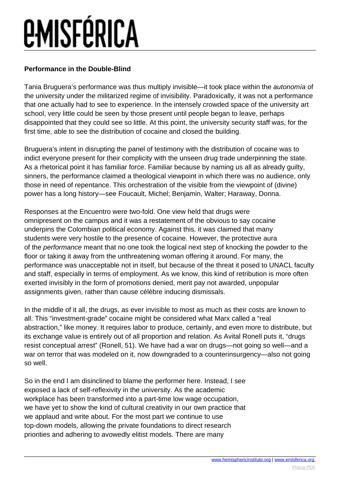### **Performance in the Double-Blind**

Tania Bruguera's performance was thus multiply invisible—it took place within the autonomía of the university under the militarized regime of invisibility. Paradoxically, it was not a performance that one actually had to see to experience. In the intensely crowded space of the university art school, very little could be seen by those present until people began to leave, perhaps disappointed that they could see so little. At this point, the university security staff was, for the first time, able to see the distribution of cocaine and closed the building.

Bruguera's intent in disrupting the panel of testimony with the distribution of cocaine was to indict everyone present for their complicity with the unseen drug trade underpinning the state. As a rhetorical point it has familiar force. Familiar because by naming us all as already guilty, sinners, the performance claimed a theological viewpoint in which there was no audience, only those in need of repentance. This orchestration of the visible from the viewpoint of (divine) power has a long history—see Foucault, Michel; Benjamin, Walter; Haraway, Donna.

Responses at the Encuentro were two-fold. One view held that drugs were omnipresent on the campus and it was a restatement of the obvious to say cocaine underpins the Colombian political economy. Against this, it was claimed that many students were very hostile to the presence of cocaine. However, the protective aura of the performance meant that no one took the logical next step of knocking the powder to the floor or taking it away from the unthreatening woman offering it around. For many, the performance was unacceptable not in itself, but because of the threat it posed to UNACL faculty and staff, especially in terms of employment. As we know, this kind of retribution is more often exerted invisibly in the form of promotions denied, merit pay not awarded, unpopular assignments given, rather than cause célèbre inducing dismissals.

In the middle of it all, the drugs, as ever invisible to most as much as their costs are known to all. This "investment-grade" cocaine might be considered what Marx called a "real abstraction," like money. It requires labor to produce, certainly, and even more to distribute, but its exchange value is entirely out of all proportion and relation. As Avital Ronell puts it, "drugs resist conceptual arrest" (Ronell, 51). We have had a war on drugs—not going so well—and a war on terror that was modeled on it, now downgraded to a counterinsurgency—also not going so well.

So in the end I am disinclined to blame the performer here. Instead, I see exposed a lack of self-reflexivity in the university. As the academic workplace has been transformed into a part-time low wage occupation, we have yet to show the kind of cultural creativity in our own practice that we applaud and write about. For the most part we continue to use top-down models, allowing the private foundations to direct research priorities and adhering to avowedly elitist models. There are many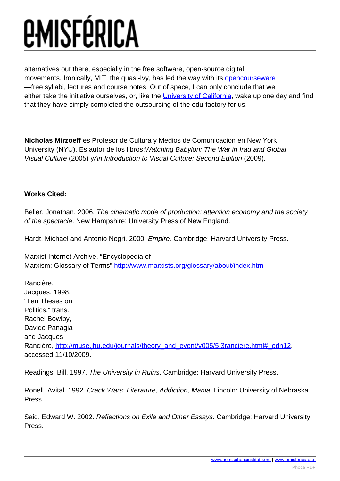alternatives out there, especially in the free software, open-source digital movements. Ironically, MIT, the quasi-Ivy, has led the way with its **[opencourseware](http://ocw.mit.edu/OcwWeb/web/home/home/index.htm)** —free syllabi, lectures and course notes. Out of space, I can only conclude that we either take the initiative ourselves, or, like the [University of California](http://utotherescue.blogspot.com/), wake up one day and find that they have simply completed the outsourcing of the edu-factory for us.

**Nicholas Mirzoeff** es Profesor de Cultura y Medios de Comunicacion en New York University (NYU). Es autor de los libros:Watching Babylon: The War in Iraq and Global Visual Culture (2005) yAn Introduction to Visual Culture: Second Edition (2009).

### **Works Cited:**

Beller, Jonathan. 2006. The cinematic mode of production: attention economy and the society of the spectacle. New Hampshire: University Press of New England.

Hardt, Michael and Antonio Negri. 2000. Empire. Cambridge: Harvard University Press.

Marxist Internet Archive, "Encyclopedia of Marxism: Glossary of Terms" <http://www.marxists.org/glossary/about/index.htm>

Rancière, Jacques. 1998. "Ten Theses on Politics," trans. Rachel Bowlby, Davide Panagia and Jacques Rancière, [http://muse.jhu.edu/journals/theory\\_and\\_event/v005/5.3ranciere.html#\\_edn12](http://muse.jhu.edu/journals/theory_and_event/v005/5.3ranciere.html#_edn12), accessed 11/10/2009.

Readings, Bill. 1997. The University in Ruins. Cambridge: Harvard University Press.

Ronell, Avital. 1992. Crack Wars: Literature, Addiction, Mania. Lincoln: University of Nebraska Press.

Said, Edward W. 2002. Reflections on Exile and Other Essays. Cambridge: Harvard University Press.